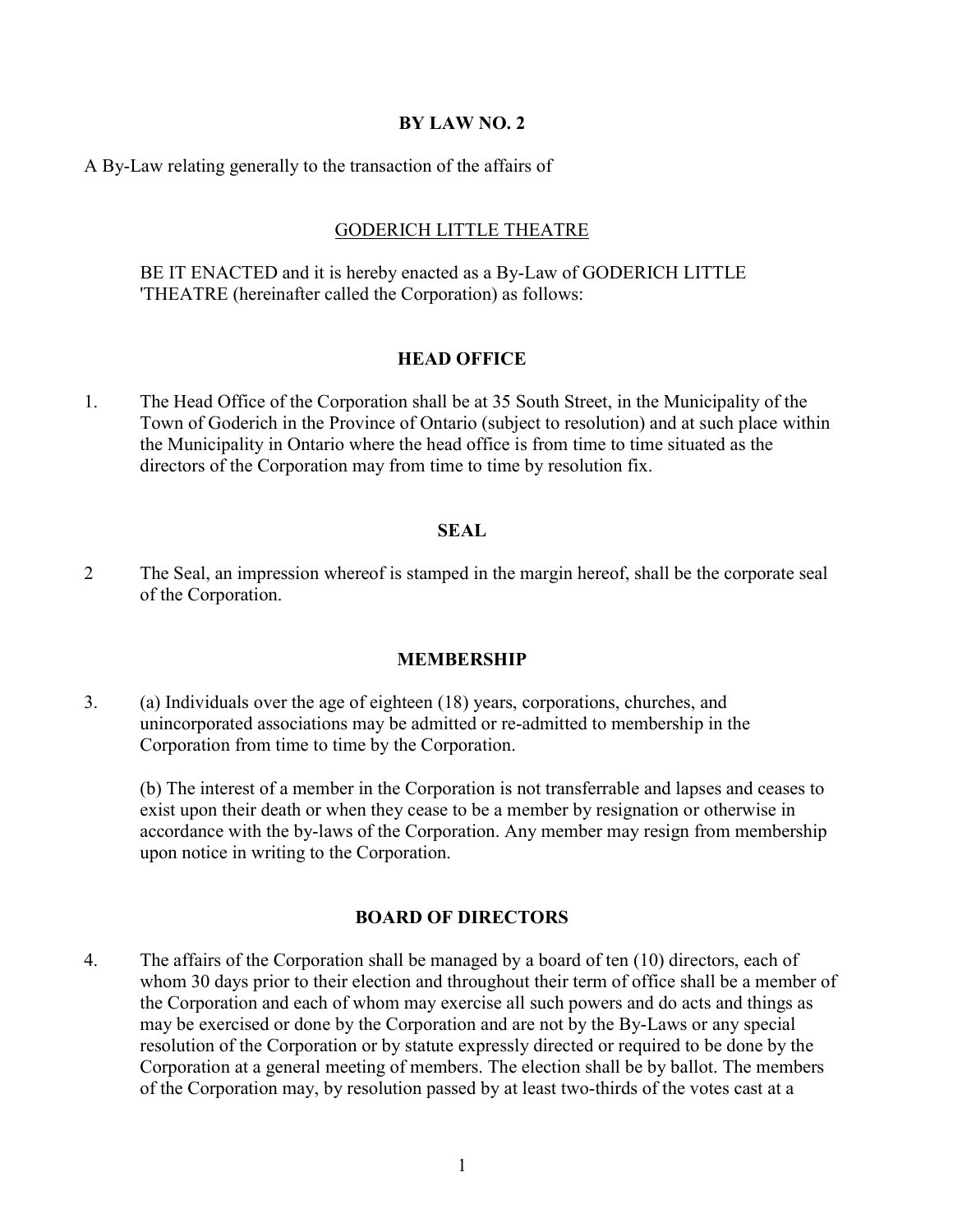## BY LAW NO. 2

A By-Law relating generally to the transaction of the affairs of

## GODERICH LITTLE THEATRE

 BE IT ENACTED and it is hereby enacted as a By-Law of GODERICH LITTLE 'THEATRE (hereinafter called the Corporation) as follows:

# HEAD OFFICE

1. The Head Office of the Corporation shall be at 35 South Street, in the Municipality of the Town of Goderich in the Province of Ontario (subject to resolution) and at such place within the Municipality in Ontario where the head office is from time to time situated as the directors of the Corporation may from time to time by resolution fix.

## SEAL

2 The Seal, an impression whereof is stamped in the margin hereof, shall be the corporate seal of the Corporation.

#### MEMBERSHIP

3. (a) Individuals over the age of eighteen (18) years, corporations, churches, and unincorporated associations may be admitted or re-admitted to membership in the Corporation from time to time by the Corporation.

(b) The interest of a member in the Corporation is not transferrable and lapses and ceases to exist upon their death or when they cease to be a member by resignation or otherwise in accordance with the by-laws of the Corporation. Any member may resign from membership upon notice in writing to the Corporation.

# BOARD OF DIRECTORS

4. The affairs of the Corporation shall be managed by a board of ten (10) directors, each of whom 30 days prior to their election and throughout their term of office shall be a member of the Corporation and each of whom may exercise all such powers and do acts and things as may be exercised or done by the Corporation and are not by the By-Laws or any special resolution of the Corporation or by statute expressly directed or required to be done by the Corporation at a general meeting of members. The election shall be by ballot. The members of the Corporation may, by resolution passed by at least two-thirds of the votes cast at a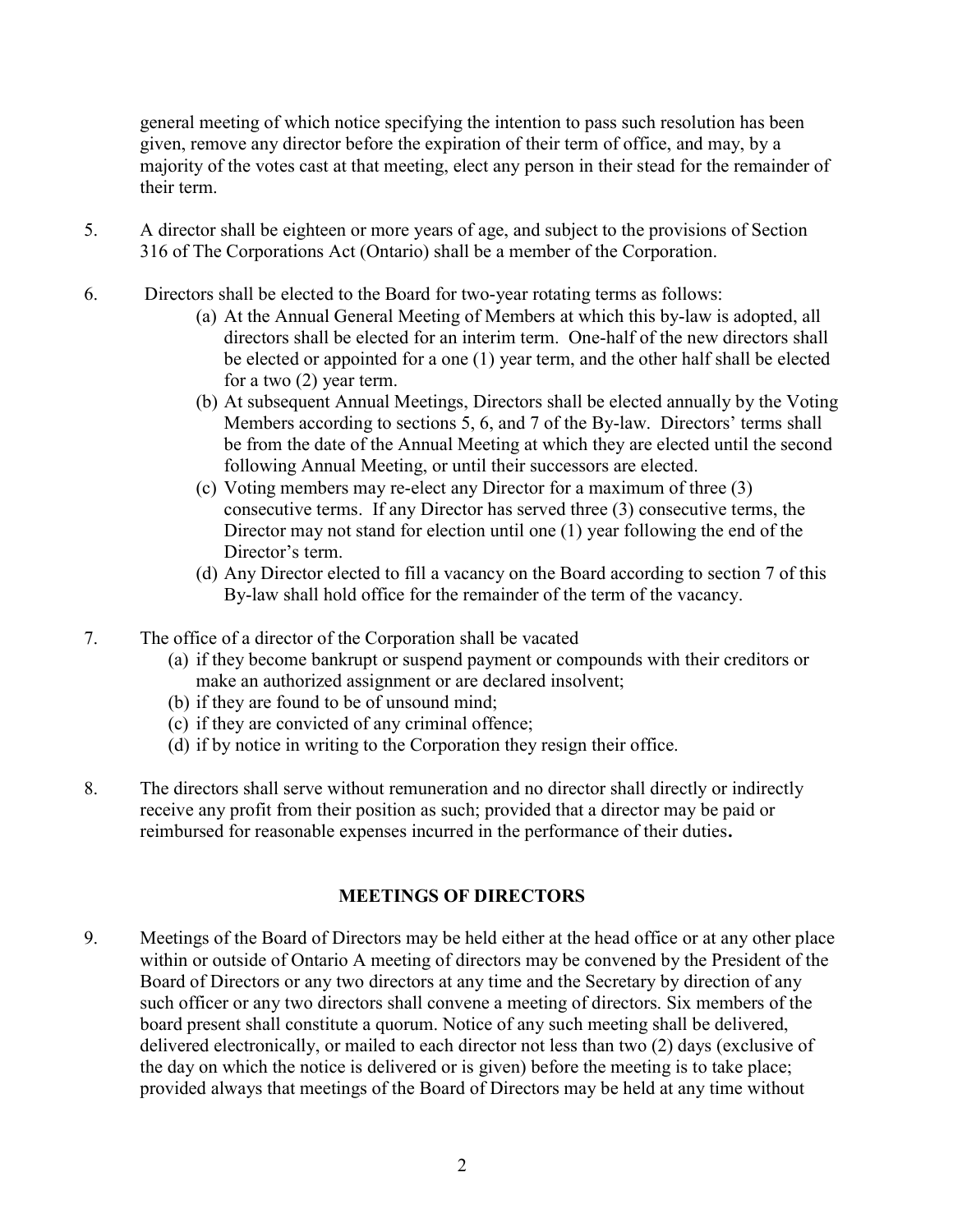general meeting of which notice specifying the intention to pass such resolution has been given, remove any director before the expiration of their term of office, and may, by a majority of the votes cast at that meeting, elect any person in their stead for the remainder of their term.

- 5. A director shall be eighteen or more years of age, and subject to the provisions of Section 316 of The Corporations Act (Ontario) shall be a member of the Corporation.
- 6. Directors shall be elected to the Board for two-year rotating terms as follows:
	- (a) At the Annual General Meeting of Members at which this by-law is adopted, all directors shall be elected for an interim term. One-half of the new directors shall be elected or appointed for a one (1) year term, and the other half shall be elected for a two (2) year term.
	- (b) At subsequent Annual Meetings, Directors shall be elected annually by the Voting Members according to sections 5, 6, and 7 of the By-law. Directors' terms shall be from the date of the Annual Meeting at which they are elected until the second following Annual Meeting, or until their successors are elected.
	- (c) Voting members may re-elect any Director for a maximum of three (3) consecutive terms. If any Director has served three (3) consecutive terms, the Director may not stand for election until one (1) year following the end of the Director's term.
	- (d) Any Director elected to fill a vacancy on the Board according to section 7 of this By-law shall hold office for the remainder of the term of the vacancy.
- 7. The office of a director of the Corporation shall be vacated
	- (a) if they become bankrupt or suspend payment or compounds with their creditors or make an authorized assignment or are declared insolvent;
	- (b) if they are found to be of unsound mind;
	- (c) if they are convicted of any criminal offence;
	- (d) if by notice in writing to the Corporation they resign their office.
- 8. The directors shall serve without remuneration and no director shall directly or indirectly receive any profit from their position as such; provided that a director may be paid or reimbursed for reasonable expenses incurred in the performance of their duties.

# MEETINGS OF DIRECTORS

9. Meetings of the Board of Directors may be held either at the head office or at any other place within or outside of Ontario A meeting of directors may be convened by the President of the Board of Directors or any two directors at any time and the Secretary by direction of any such officer or any two directors shall convene a meeting of directors. Six members of the board present shall constitute a quorum. Notice of any such meeting shall be delivered, delivered electronically, or mailed to each director not less than two (2) days (exclusive of the day on which the notice is delivered or is given) before the meeting is to take place; provided always that meetings of the Board of Directors may be held at any time without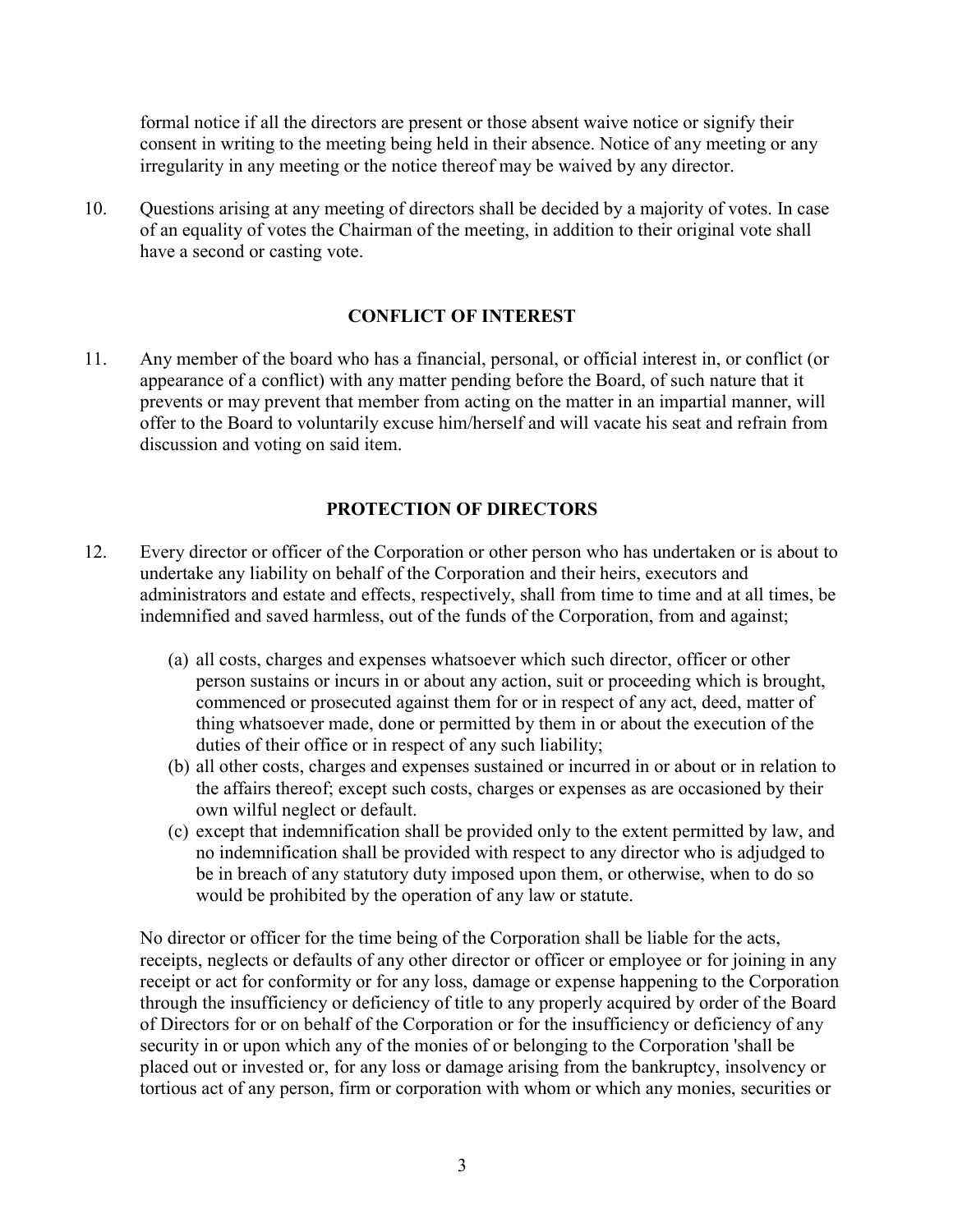formal notice if all the directors are present or those absent waive notice or signify their consent in writing to the meeting being held in their absence. Notice of any meeting or any irregularity in any meeting or the notice thereof may be waived by any director.

10. Questions arising at any meeting of directors shall be decided by a majority of votes. In case of an equality of votes the Chairman of the meeting, in addition to their original vote shall have a second or casting vote.

# CONFLICT OF INTEREST

11. Any member of the board who has a financial, personal, or official interest in, or conflict (or appearance of a conflict) with any matter pending before the Board, of such nature that it prevents or may prevent that member from acting on the matter in an impartial manner, will offer to the Board to voluntarily excuse him/herself and will vacate his seat and refrain from discussion and voting on said item.

# PROTECTION OF DIRECTORS

- 12. Every director or officer of the Corporation or other person who has undertaken or is about to undertake any liability on behalf of the Corporation and their heirs, executors and administrators and estate and effects, respectively, shall from time to time and at all times, be indemnified and saved harmless, out of the funds of the Corporation, from and against;
	- (a) all costs, charges and expenses whatsoever which such director, officer or other person sustains or incurs in or about any action, suit or proceeding which is brought, commenced or prosecuted against them for or in respect of any act, deed, matter of thing whatsoever made, done or permitted by them in or about the execution of the duties of their office or in respect of any such liability;
	- (b) all other costs, charges and expenses sustained or incurred in or about or in relation to the affairs thereof; except such costs, charges or expenses as are occasioned by their own wilful neglect or default.
	- (c) except that indemnification shall be provided only to the extent permitted by law, and no indemnification shall be provided with respect to any director who is adjudged to be in breach of any statutory duty imposed upon them, or otherwise, when to do so would be prohibited by the operation of any law or statute.

No director or officer for the time being of the Corporation shall be liable for the acts, receipts, neglects or defaults of any other director or officer or employee or for joining in any receipt or act for conformity or for any loss, damage or expense happening to the Corporation through the insufficiency or deficiency of title to any properly acquired by order of the Board of Directors for or on behalf of the Corporation or for the insufficiency or deficiency of any security in or upon which any of the monies of or belonging to the Corporation 'shall be placed out or invested or, for any loss or damage arising from the bankruptcy, insolvency or tortious act of any person, firm or corporation with whom or which any monies, securities or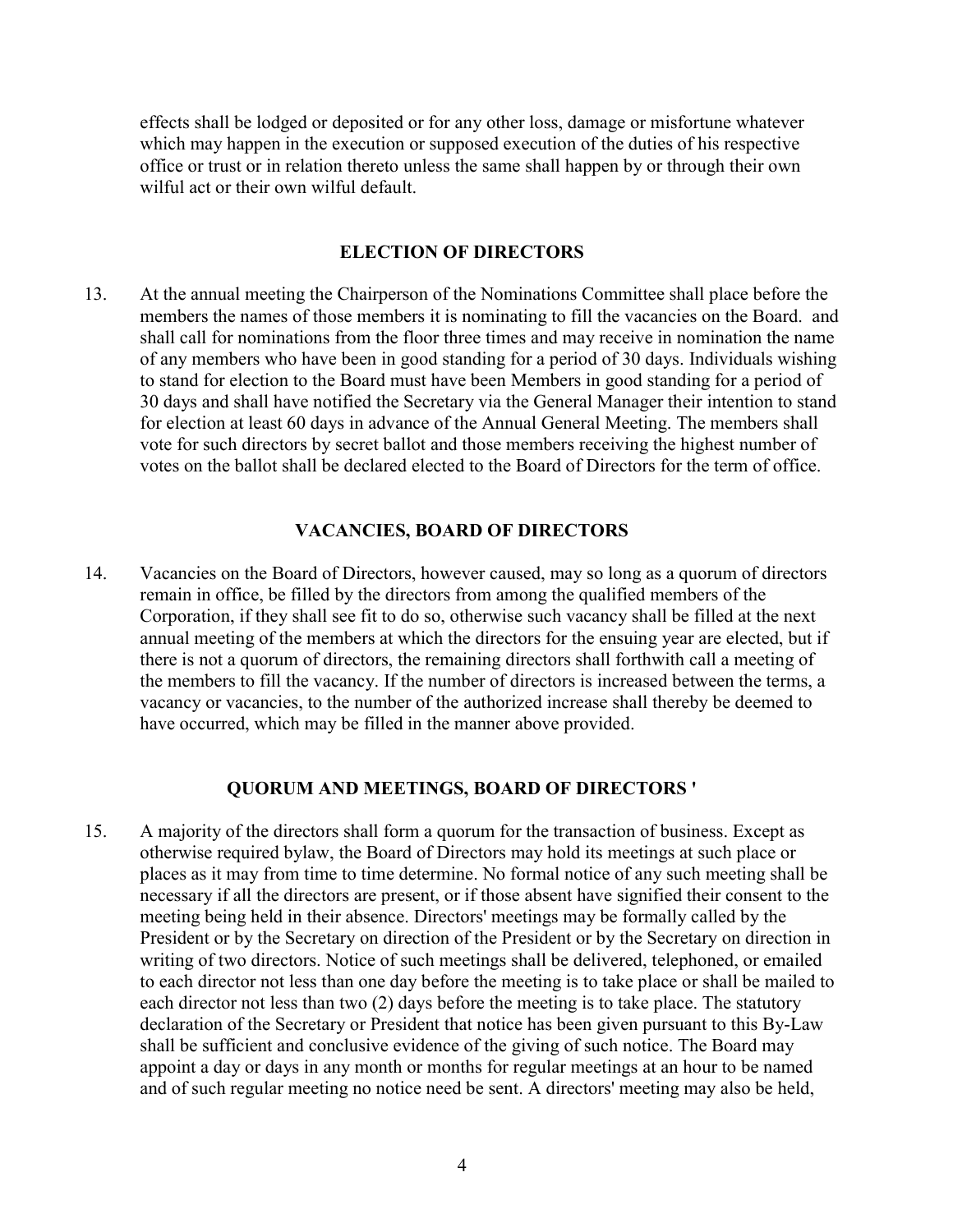effects shall be lodged or deposited or for any other loss, damage or misfortune whatever which may happen in the execution or supposed execution of the duties of his respective office or trust or in relation thereto unless the same shall happen by or through their own wilful act or their own wilful default.

### ELECTION OF DIRECTORS

13. At the annual meeting the Chairperson of the Nominations Committee shall place before the members the names of those members it is nominating to fill the vacancies on the Board. and shall call for nominations from the floor three times and may receive in nomination the name of any members who have been in good standing for a period of 30 days. Individuals wishing to stand for election to the Board must have been Members in good standing for a period of 30 days and shall have notified the Secretary via the General Manager their intention to stand for election at least 60 days in advance of the Annual General Meeting. The members shall vote for such directors by secret ballot and those members receiving the highest number of votes on the ballot shall be declared elected to the Board of Directors for the term of office.

### VACANCIES, BOARD OF DIRECTORS

14. Vacancies on the Board of Directors, however caused, may so long as a quorum of directors remain in office, be filled by the directors from among the qualified members of the Corporation, if they shall see fit to do so, otherwise such vacancy shall be filled at the next annual meeting of the members at which the directors for the ensuing year are elected, but if there is not a quorum of directors, the remaining directors shall forthwith call a meeting of the members to fill the vacancy. If the number of directors is increased between the terms, a vacancy or vacancies, to the number of the authorized increase shall thereby be deemed to have occurred, which may be filled in the manner above provided.

### QUORUM AND MEETINGS, BOARD OF DIRECTORS '

15. A majority of the directors shall form a quorum for the transaction of business. Except as otherwise required bylaw, the Board of Directors may hold its meetings at such place or places as it may from time to time determine. No formal notice of any such meeting shall be necessary if all the directors are present, or if those absent have signified their consent to the meeting being held in their absence. Directors' meetings may be formally called by the President or by the Secretary on direction of the President or by the Secretary on direction in writing of two directors. Notice of such meetings shall be delivered, telephoned, or emailed to each director not less than one day before the meeting is to take place or shall be mailed to each director not less than two (2) days before the meeting is to take place. The statutory declaration of the Secretary or President that notice has been given pursuant to this By-Law shall be sufficient and conclusive evidence of the giving of such notice. The Board may appoint a day or days in any month or months for regular meetings at an hour to be named and of such regular meeting no notice need be sent. A directors' meeting may also be held,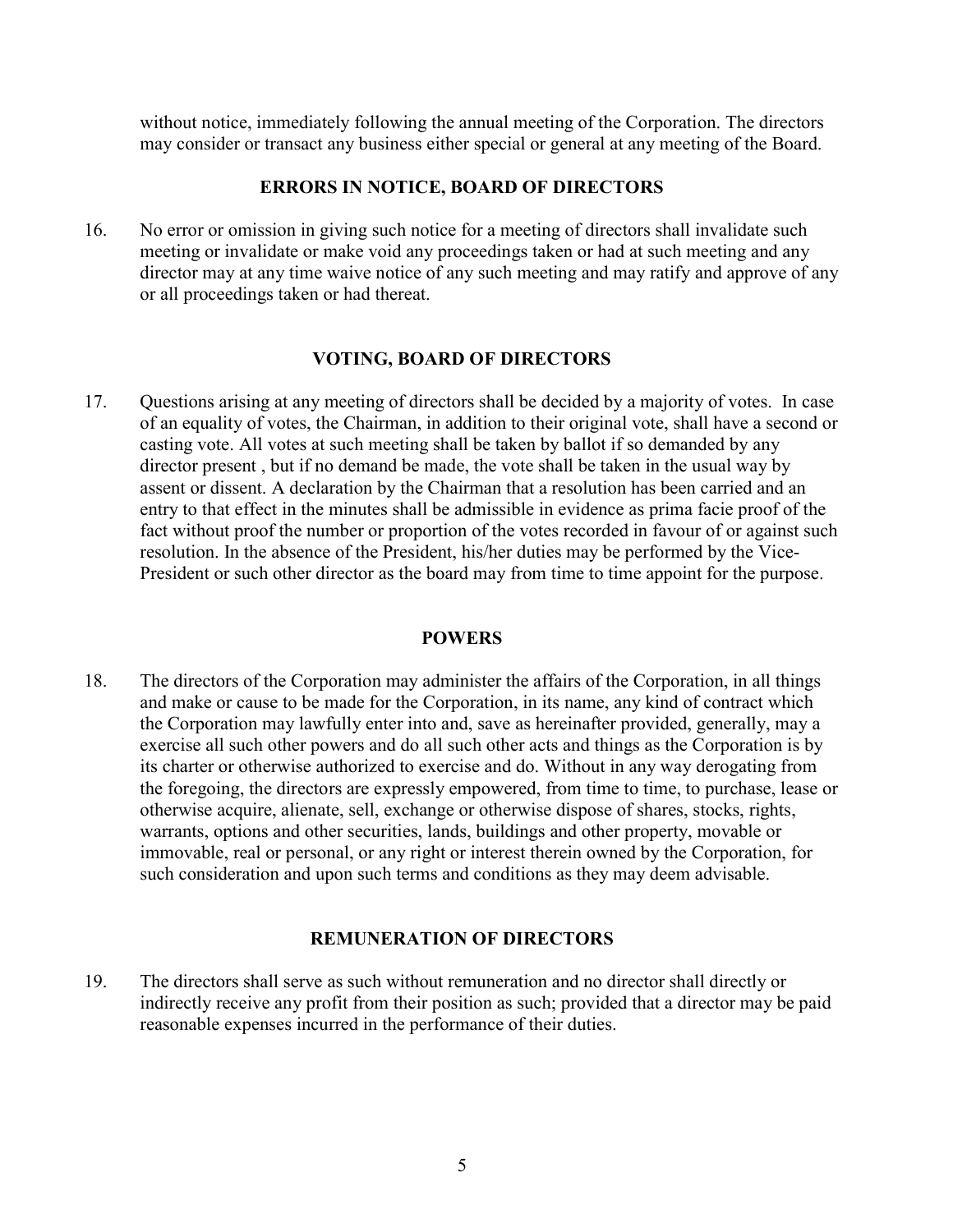without notice, immediately following the annual meeting of the Corporation. The directors may consider or transact any business either special or general at any meeting of the Board.

# ERRORS IN NOTICE, BOARD OF DIRECTORS

16. No error or omission in giving such notice for a meeting of directors shall invalidate such meeting or invalidate or make void any proceedings taken or had at such meeting and any director may at any time waive notice of any such meeting and may ratify and approve of any or all proceedings taken or had thereat.

# VOTING, BOARD OF DIRECTORS

17. Questions arising at any meeting of directors shall be decided by a majority of votes. In case of an equality of votes, the Chairman, in addition to their original vote, shall have a second or casting vote. All votes at such meeting shall be taken by ballot if so demanded by any director present , but if no demand be made, the vote shall be taken in the usual way by assent or dissent. A declaration by the Chairman that a resolution has been carried and an entry to that effect in the minutes shall be admissible in evidence as prima facie proof of the fact without proof the number or proportion of the votes recorded in favour of or against such resolution. In the absence of the President, his/her duties may be performed by the Vice-President or such other director as the board may from time to time appoint for the purpose.

# **POWERS**

18. The directors of the Corporation may administer the affairs of the Corporation, in all things and make or cause to be made for the Corporation, in its name, any kind of contract which the Corporation may lawfully enter into and, save as hereinafter provided, generally, may a exercise all such other powers and do all such other acts and things as the Corporation is by its charter or otherwise authorized to exercise and do. Without in any way derogating from the foregoing, the directors are expressly empowered, from time to time, to purchase, lease or otherwise acquire, alienate, sell, exchange or otherwise dispose of shares, stocks, rights, warrants, options and other securities, lands, buildings and other property, movable or immovable, real or personal, or any right or interest therein owned by the Corporation, for such consideration and upon such terms and conditions as they may deem advisable.

# REMUNERATION OF DIRECTORS

19. The directors shall serve as such without remuneration and no director shall directly or indirectly receive any profit from their position as such; provided that a director may be paid reasonable expenses incurred in the performance of their duties.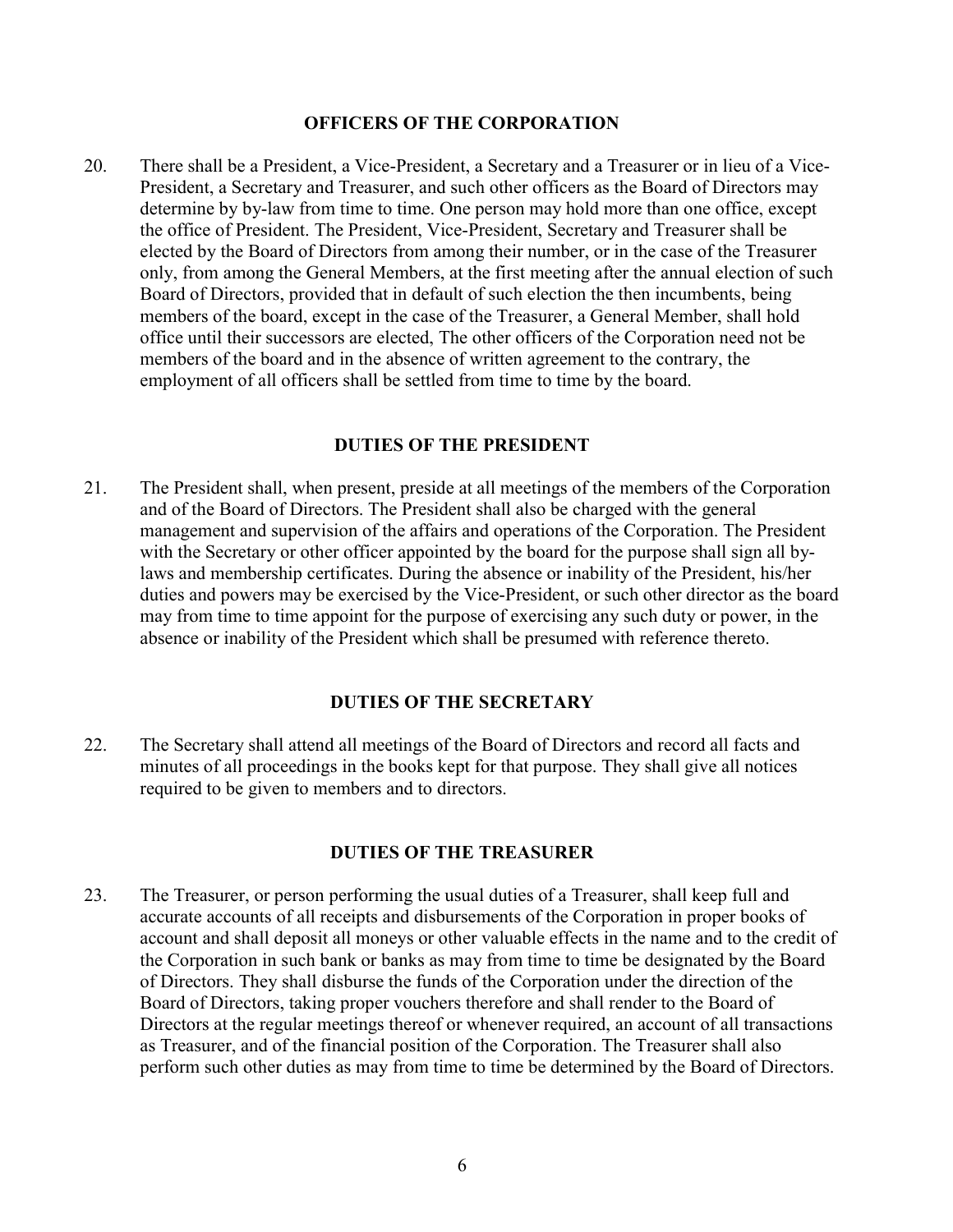#### OFFICERS OF THE CORPORATION

20. There shall be a President, a Vice-President, a Secretary and a Treasurer or in lieu of a Vice-President, a Secretary and Treasurer, and such other officers as the Board of Directors may determine by by-law from time to time. One person may hold more than one office, except the office of President. The President, Vice-President, Secretary and Treasurer shall be elected by the Board of Directors from among their number, or in the case of the Treasurer only, from among the General Members, at the first meeting after the annual election of such Board of Directors, provided that in default of such election the then incumbents, being members of the board, except in the case of the Treasurer, a General Member, shall hold office until their successors are elected, The other officers of the Corporation need not be members of the board and in the absence of written agreement to the contrary, the employment of all officers shall be settled from time to time by the board.

## DUTIES OF THE PRESIDENT

21. The President shall, when present, preside at all meetings of the members of the Corporation and of the Board of Directors. The President shall also be charged with the general management and supervision of the affairs and operations of the Corporation. The President with the Secretary or other officer appointed by the board for the purpose shall sign all bylaws and membership certificates. During the absence or inability of the President, his/her duties and powers may be exercised by the Vice-President, or such other director as the board may from time to time appoint for the purpose of exercising any such duty or power, in the absence or inability of the President which shall be presumed with reference thereto.

#### DUTIES OF THE SECRETARY

22. The Secretary shall attend all meetings of the Board of Directors and record all facts and minutes of all proceedings in the books kept for that purpose. They shall give all notices required to be given to members and to directors.

#### DUTIES OF THE TREASURER

23. The Treasurer, or person performing the usual duties of a Treasurer, shall keep full and accurate accounts of all receipts and disbursements of the Corporation in proper books of account and shall deposit all moneys or other valuable effects in the name and to the credit of the Corporation in such bank or banks as may from time to time be designated by the Board of Directors. They shall disburse the funds of the Corporation under the direction of the Board of Directors, taking proper vouchers therefore and shall render to the Board of Directors at the regular meetings thereof or whenever required, an account of all transactions as Treasurer, and of the financial position of the Corporation. The Treasurer shall also perform such other duties as may from time to time be determined by the Board of Directors.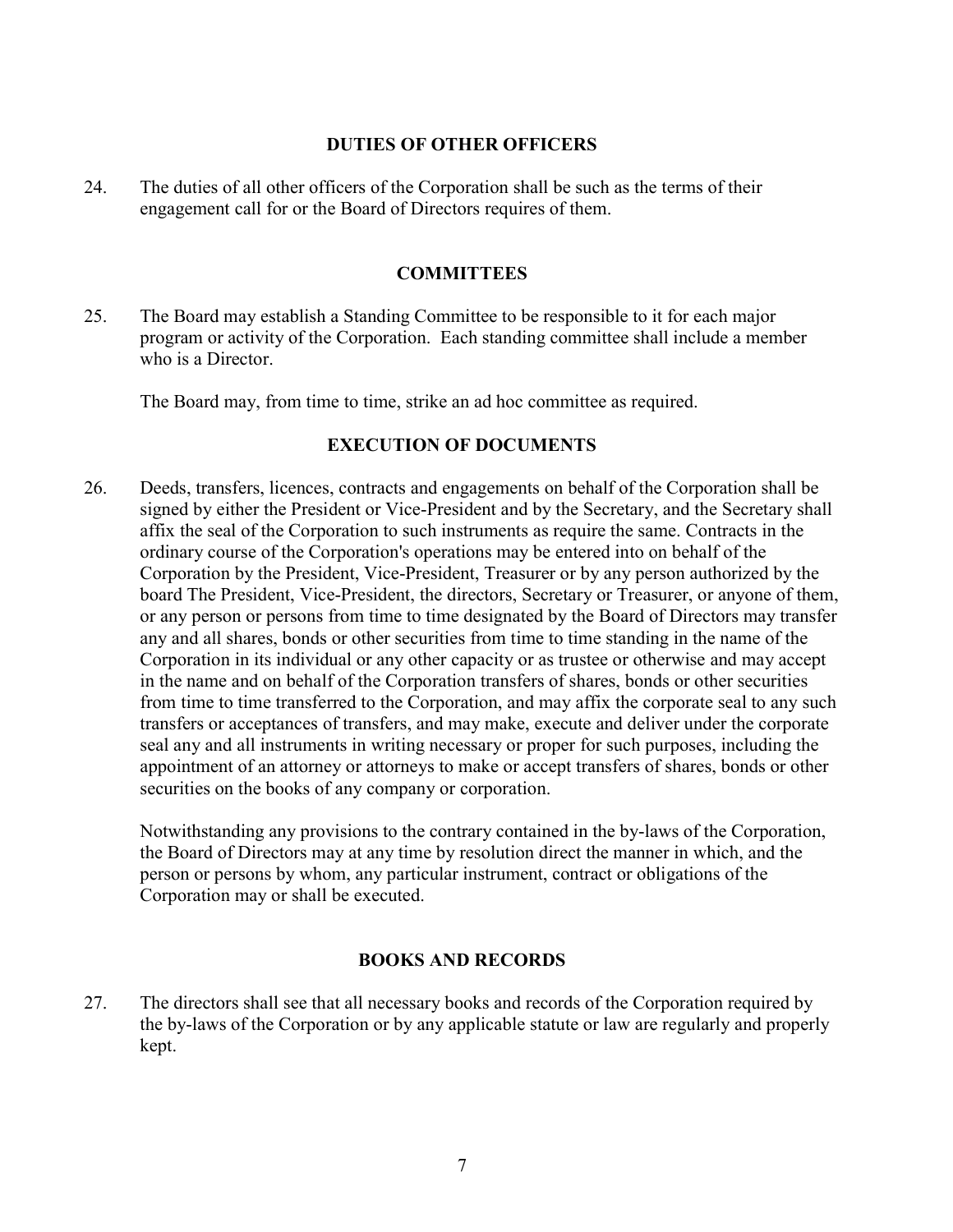## DUTIES OF OTHER OFFICERS

24. The duties of all other officers of the Corporation shall be such as the terms of their engagement call for or the Board of Directors requires of them.

# **COMMITTEES**

25. The Board may establish a Standing Committee to be responsible to it for each major program or activity of the Corporation. Each standing committee shall include a member who is a Director.

The Board may, from time to time, strike an ad hoc committee as required.

# EXECUTION OF DOCUMENTS

26. Deeds, transfers, licences, contracts and engagements on behalf of the Corporation shall be signed by either the President or Vice-President and by the Secretary, and the Secretary shall affix the seal of the Corporation to such instruments as require the same. Contracts in the ordinary course of the Corporation's operations may be entered into on behalf of the Corporation by the President, Vice-President, Treasurer or by any person authorized by the board The President, Vice-President, the directors, Secretary or Treasurer, or anyone of them, or any person or persons from time to time designated by the Board of Directors may transfer any and all shares, bonds or other securities from time to time standing in the name of the Corporation in its individual or any other capacity or as trustee or otherwise and may accept in the name and on behalf of the Corporation transfers of shares, bonds or other securities from time to time transferred to the Corporation, and may affix the corporate seal to any such transfers or acceptances of transfers, and may make, execute and deliver under the corporate seal any and all instruments in writing necessary or proper for such purposes, including the appointment of an attorney or attorneys to make or accept transfers of shares, bonds or other securities on the books of any company or corporation.

Notwithstanding any provisions to the contrary contained in the by-laws of the Corporation, the Board of Directors may at any time by resolution direct the manner in which, and the person or persons by whom, any particular instrument, contract or obligations of the Corporation may or shall be executed.

# BOOKS AND RECORDS

27. The directors shall see that all necessary books and records of the Corporation required by the by-laws of the Corporation or by any applicable statute or law are regularly and properly kept.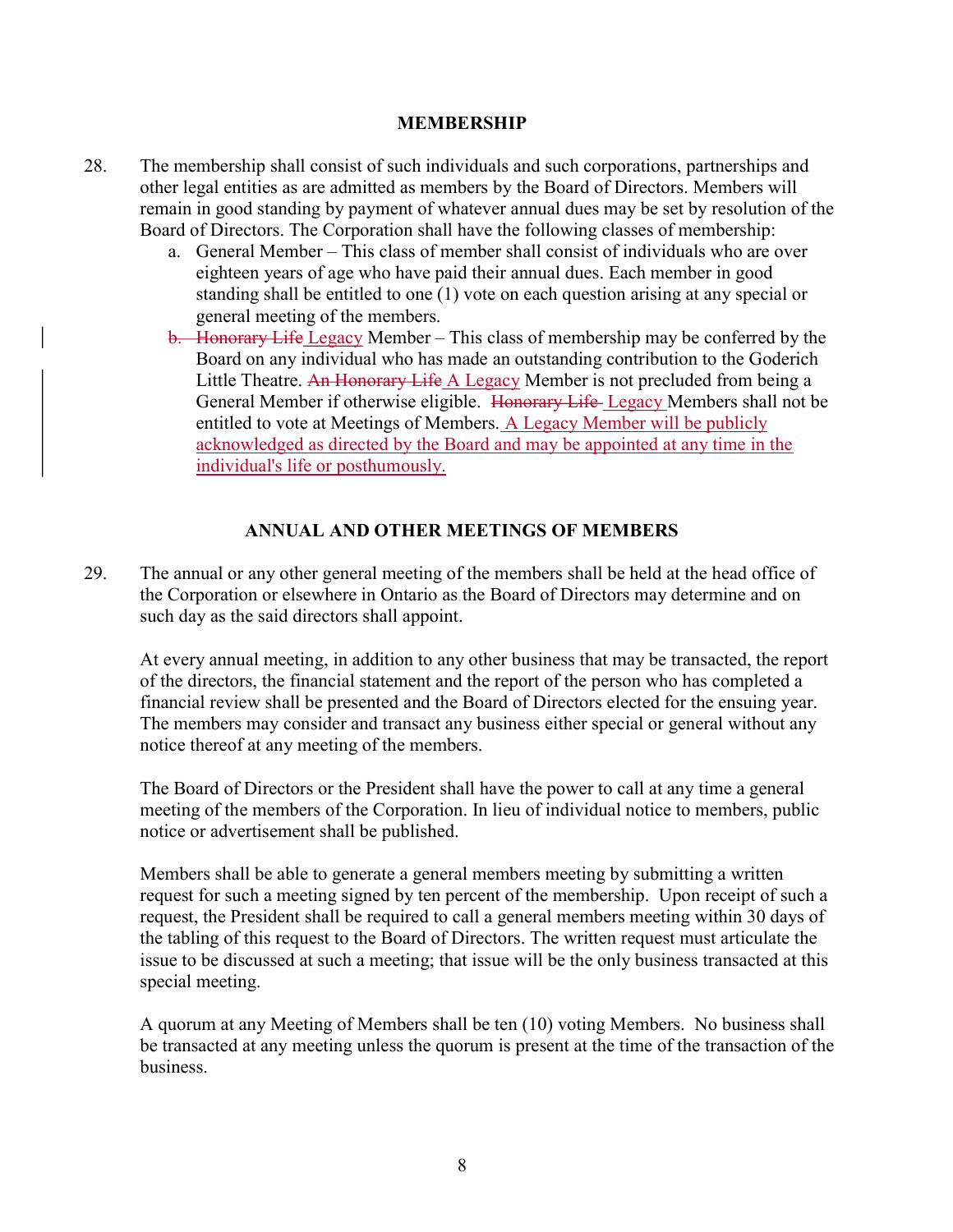### MEMBERSHIP

- 28. The membership shall consist of such individuals and such corporations, partnerships and other legal entities as are admitted as members by the Board of Directors. Members will remain in good standing by payment of whatever annual dues may be set by resolution of the Board of Directors. The Corporation shall have the following classes of membership:
	- a. General Member This class of member shall consist of individuals who are over eighteen years of age who have paid their annual dues. Each member in good standing shall be entitled to one (1) vote on each question arising at any special or general meeting of the members.
	- b. Honorary Life Legacy Member This class of membership may be conferred by the Board on any individual who has made an outstanding contribution to the Goderich Little Theatre. An Honorary Life A Legacy Member is not precluded from being a General Member if otherwise eligible. Honorary Life-Legacy Members shall not be entitled to vote at Meetings of Members. A Legacy Member will be publicly acknowledged as directed by the Board and may be appointed at any time in the individual's life or posthumously.

# ANNUAL AND OTHER MEETINGS OF MEMBERS

29. The annual or any other general meeting of the members shall be held at the head office of the Corporation or elsewhere in Ontario as the Board of Directors may determine and on such day as the said directors shall appoint.

At every annual meeting, in addition to any other business that may be transacted, the report of the directors, the financial statement and the report of the person who has completed a financial review shall be presented and the Board of Directors elected for the ensuing year. The members may consider and transact any business either special or general without any notice thereof at any meeting of the members.

The Board of Directors or the President shall have the power to call at any time a general meeting of the members of the Corporation. In lieu of individual notice to members, public notice or advertisement shall be published.

Members shall be able to generate a general members meeting by submitting a written request for such a meeting signed by ten percent of the membership. Upon receipt of such a request, the President shall be required to call a general members meeting within 30 days of the tabling of this request to the Board of Directors. The written request must articulate the issue to be discussed at such a meeting; that issue will be the only business transacted at this special meeting.

A quorum at any Meeting of Members shall be ten (10) voting Members. No business shall be transacted at any meeting unless the quorum is present at the time of the transaction of the business.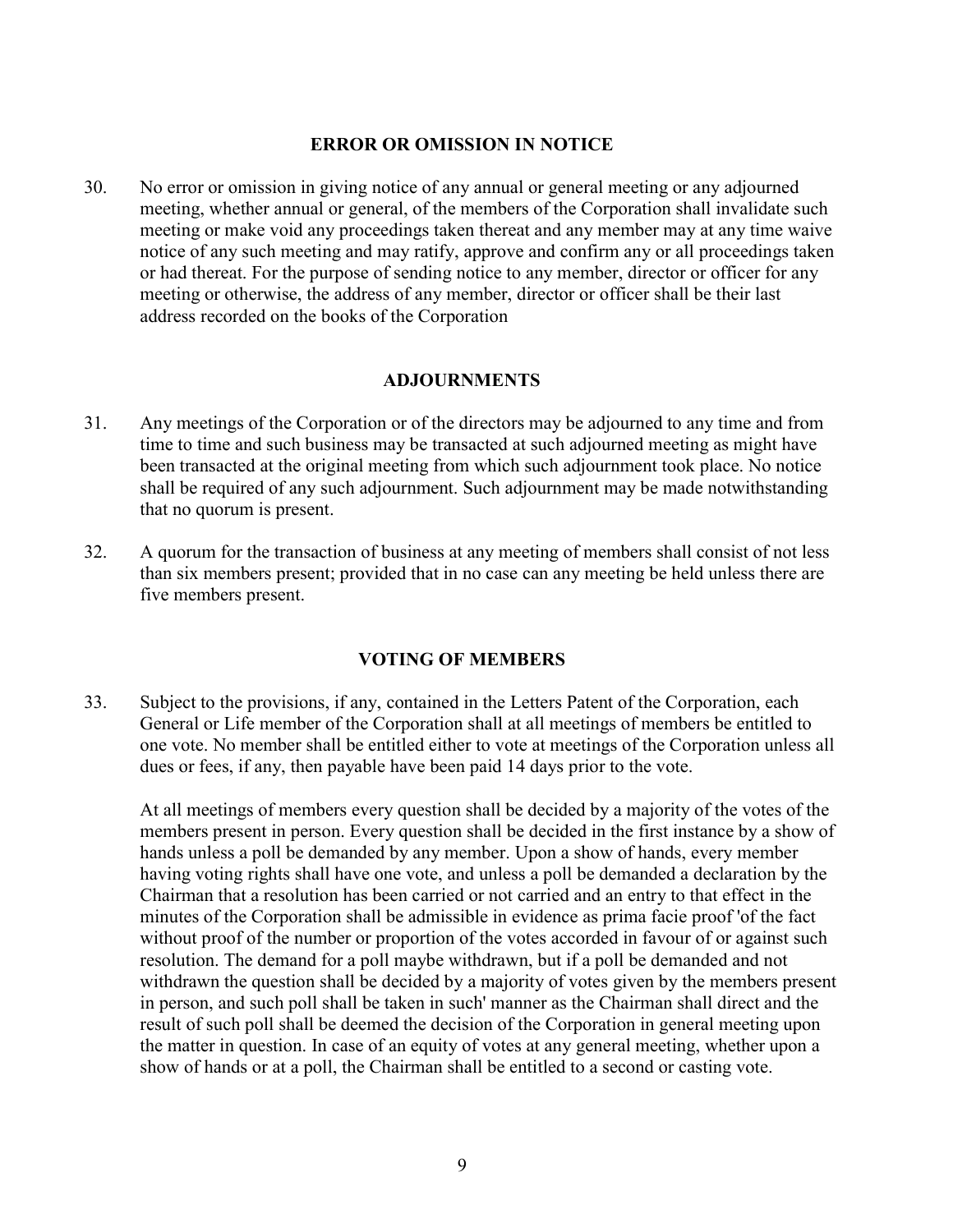### ERROR OR OMISSION IN NOTICE

30. No error or omission in giving notice of any annual or general meeting or any adjourned meeting, whether annual or general, of the members of the Corporation shall invalidate such meeting or make void any proceedings taken thereat and any member may at any time waive notice of any such meeting and may ratify, approve and confirm any or all proceedings taken or had thereat. For the purpose of sending notice to any member, director or officer for any meeting or otherwise, the address of any member, director or officer shall be their last address recorded on the books of the Corporation

#### ADJOURNMENTS

- 31. Any meetings of the Corporation or of the directors may be adjourned to any time and from time to time and such business may be transacted at such adjourned meeting as might have been transacted at the original meeting from which such adjournment took place. No notice shall be required of any such adjournment. Such adjournment may be made notwithstanding that no quorum is present.
- 32. A quorum for the transaction of business at any meeting of members shall consist of not less than six members present; provided that in no case can any meeting be held unless there are five members present.

# VOTING OF MEMBERS

33. Subject to the provisions, if any, contained in the Letters Patent of the Corporation, each General or Life member of the Corporation shall at all meetings of members be entitled to one vote. No member shall be entitled either to vote at meetings of the Corporation unless all dues or fees, if any, then payable have been paid 14 days prior to the vote.

At all meetings of members every question shall be decided by a majority of the votes of the members present in person. Every question shall be decided in the first instance by a show of hands unless a poll be demanded by any member. Upon a show of hands, every member having voting rights shall have one vote, and unless a poll be demanded a declaration by the Chairman that a resolution has been carried or not carried and an entry to that effect in the minutes of the Corporation shall be admissible in evidence as prima facie proof 'of the fact without proof of the number or proportion of the votes accorded in favour of or against such resolution. The demand for a poll maybe withdrawn, but if a poll be demanded and not withdrawn the question shall be decided by a majority of votes given by the members present in person, and such poll shall be taken in such' manner as the Chairman shall direct and the result of such poll shall be deemed the decision of the Corporation in general meeting upon the matter in question. In case of an equity of votes at any general meeting, whether upon a show of hands or at a poll, the Chairman shall be entitled to a second or casting vote.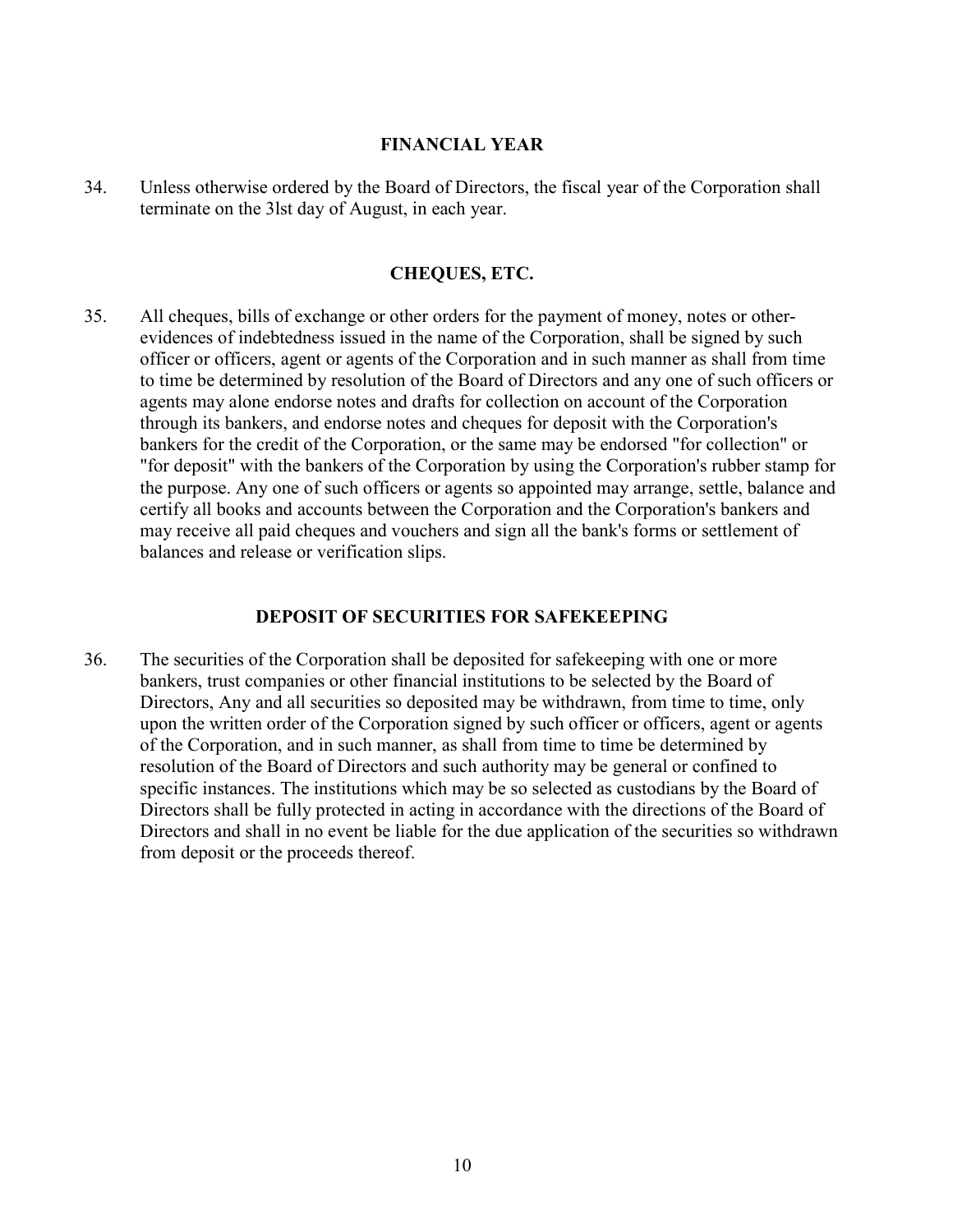## FINANCIAL YEAR

34. Unless otherwise ordered by the Board of Directors, the fiscal year of the Corporation shall terminate on the 3lst day of August, in each year.

# CHEQUES, ETC.

35. All cheques, bills of exchange or other orders for the payment of money, notes or otherevidences of indebtedness issued in the name of the Corporation, shall be signed by such officer or officers, agent or agents of the Corporation and in such manner as shall from time to time be determined by resolution of the Board of Directors and any one of such officers or agents may alone endorse notes and drafts for collection on account of the Corporation through its bankers, and endorse notes and cheques for deposit with the Corporation's bankers for the credit of the Corporation, or the same may be endorsed "for collection" or "for deposit" with the bankers of the Corporation by using the Corporation's rubber stamp for the purpose. Any one of such officers or agents so appointed may arrange, settle, balance and certify all books and accounts between the Corporation and the Corporation's bankers and may receive all paid cheques and vouchers and sign all the bank's forms or settlement of balances and release or verification slips.

# DEPOSIT OF SECURITIES FOR SAFEKEEPING

36. The securities of the Corporation shall be deposited for safekeeping with one or more bankers, trust companies or other financial institutions to be selected by the Board of Directors, Any and all securities so deposited may be withdrawn, from time to time, only upon the written order of the Corporation signed by such officer or officers, agent or agents of the Corporation, and in such manner, as shall from time to time be determined by resolution of the Board of Directors and such authority may be general or confined to specific instances. The institutions which may be so selected as custodians by the Board of Directors shall be fully protected in acting in accordance with the directions of the Board of Directors and shall in no event be liable for the due application of the securities so withdrawn from deposit or the proceeds thereof.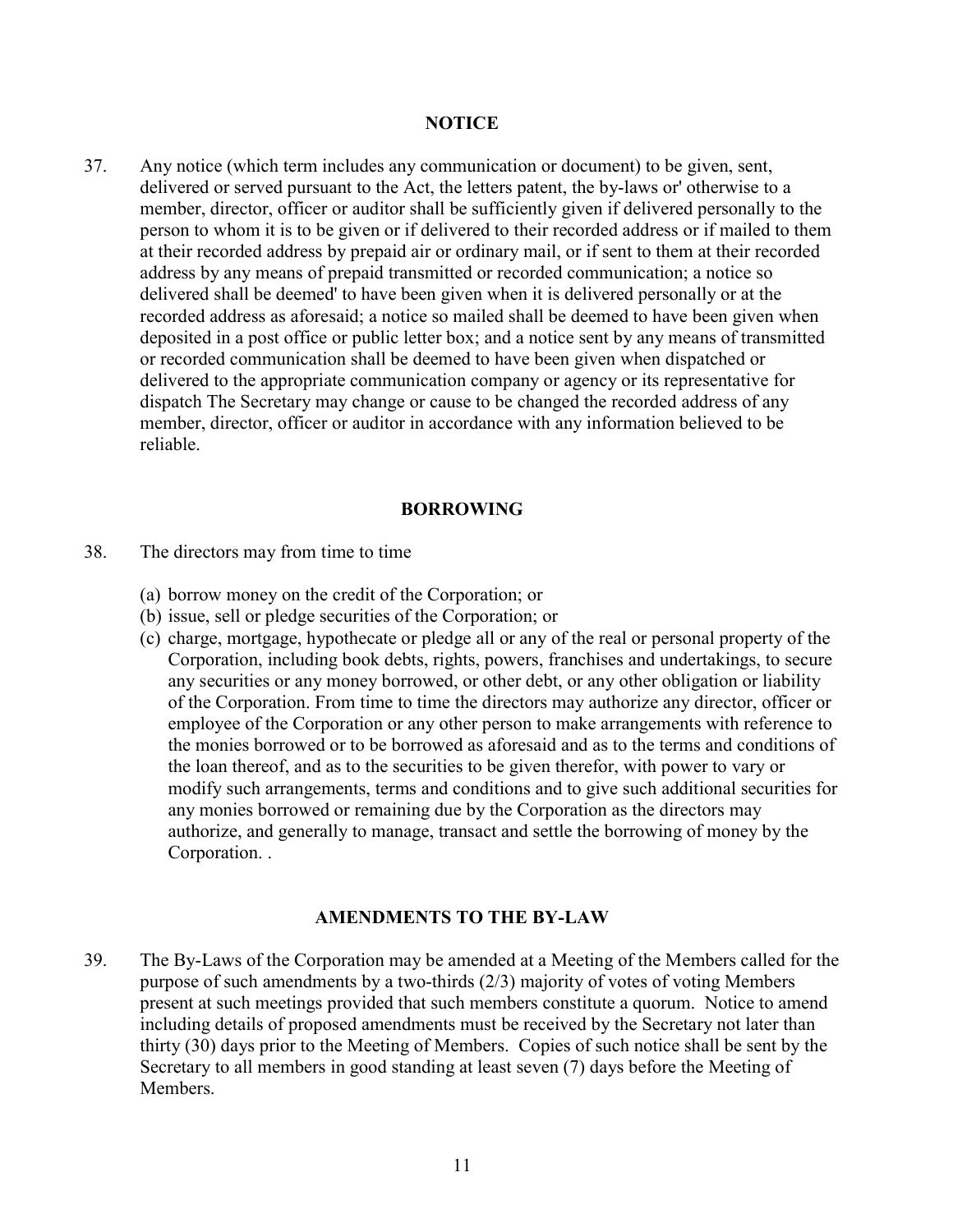## **NOTICE**

37. Any notice (which term includes any communication or document) to be given, sent, delivered or served pursuant to the Act, the letters patent, the by-laws or' otherwise to a member, director, officer or auditor shall be sufficiently given if delivered personally to the person to whom it is to be given or if delivered to their recorded address or if mailed to them at their recorded address by prepaid air or ordinary mail, or if sent to them at their recorded address by any means of prepaid transmitted or recorded communication; a notice so delivered shall be deemed' to have been given when it is delivered personally or at the recorded address as aforesaid; a notice so mailed shall be deemed to have been given when deposited in a post office or public letter box; and a notice sent by any means of transmitted or recorded communication shall be deemed to have been given when dispatched or delivered to the appropriate communication company or agency or its representative for dispatch The Secretary may change or cause to be changed the recorded address of any member, director, officer or auditor in accordance with any information believed to be reliable.

#### BORROWING

- 38. The directors may from time to time
	- (a) borrow money on the credit of the Corporation; or
	- (b) issue, sell or pledge securities of the Corporation; or
	- (c) charge, mortgage, hypothecate or pledge all or any of the real or personal property of the Corporation, including book debts, rights, powers, franchises and undertakings, to secure any securities or any money borrowed, or other debt, or any other obligation or liability of the Corporation. From time to time the directors may authorize any director, officer or employee of the Corporation or any other person to make arrangements with reference to the monies borrowed or to be borrowed as aforesaid and as to the terms and conditions of the loan thereof, and as to the securities to be given therefor, with power to vary or modify such arrangements, terms and conditions and to give such additional securities for any monies borrowed or remaining due by the Corporation as the directors may authorize, and generally to manage, transact and settle the borrowing of money by the Corporation. .

# AMENDMENTS TO THE BY-LAW

39. The By-Laws of the Corporation may be amended at a Meeting of the Members called for the purpose of such amendments by a two-thirds (2/3) majority of votes of voting Members present at such meetings provided that such members constitute a quorum. Notice to amend including details of proposed amendments must be received by the Secretary not later than thirty (30) days prior to the Meeting of Members. Copies of such notice shall be sent by the Secretary to all members in good standing at least seven (7) days before the Meeting of Members.